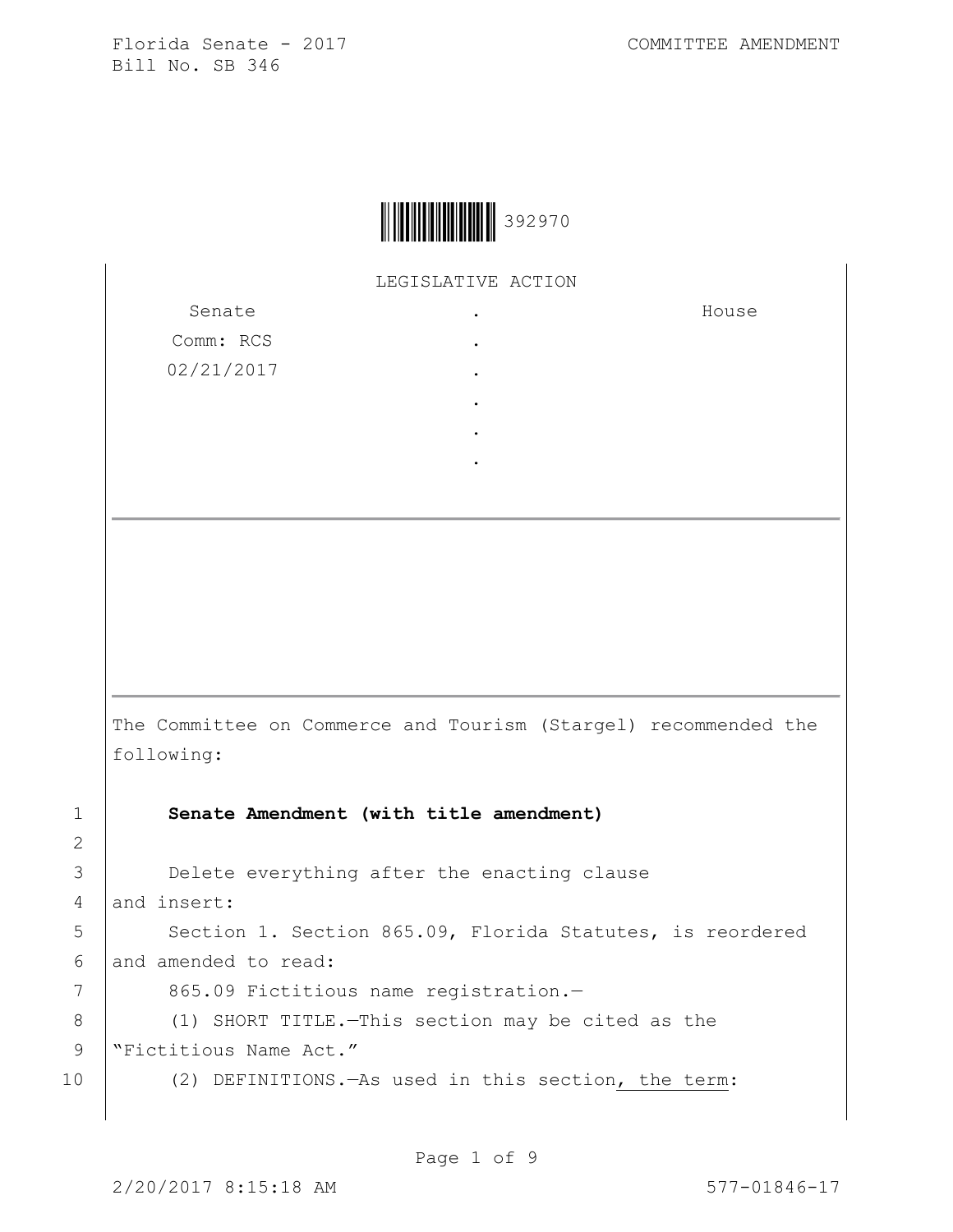

LEGISLATIVE ACTION

.

Senate Comm: RCS 02/21/2017 . . . . .

House

The Committee on Commerce and Tourism (Stargel) recommended the following:

2

1 **Senate Amendment (with title amendment)**

3 **Delete everything after the enacting clause** 4 and insert: 5 | Section 1. Section 865.09, Florida Statutes, is reordered 6 and amended to read:

7 | 865.09 Fictitious name registration.-

8 (1) SHORT TITLE. - This section may be cited as the

9 | "Fictitious Name Act."

10 (2) DEFINITIONS.—As used in this section, the term: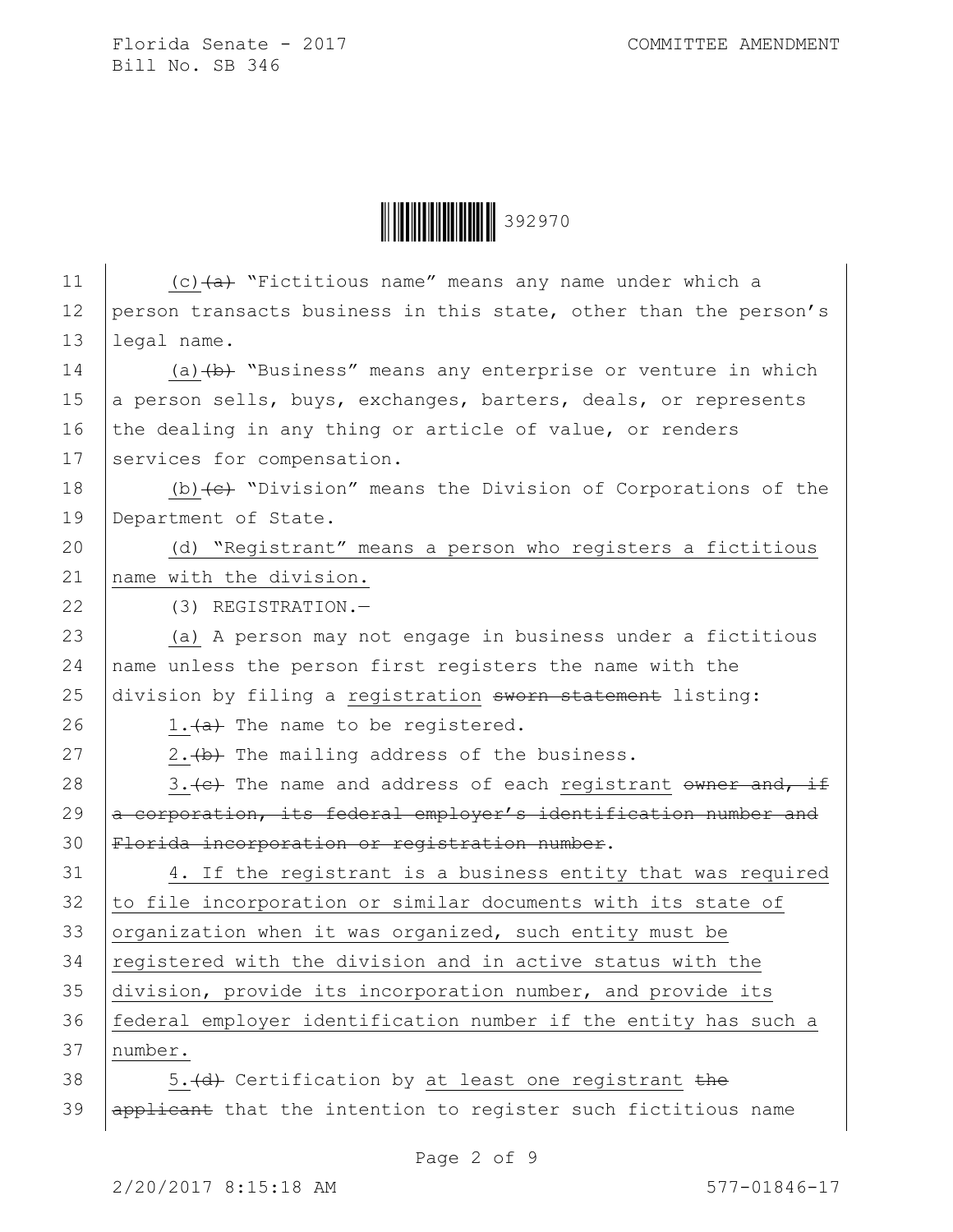**|| || || || || || || || || || ||** 392970

| 11 | (c) $(a + b)$ "Fictitious name" means any name under which a                |
|----|-----------------------------------------------------------------------------|
| 12 | person transacts business in this state, other than the person's            |
| 13 | legal name.                                                                 |
| 14 | (a) $(b)$ "Business" means any enterprise or venture in which               |
| 15 | a person sells, buys, exchanges, barters, deals, or represents              |
| 16 | the dealing in any thing or article of value, or renders                    |
| 17 | services for compensation.                                                  |
| 18 | (b) $\left\{e\right\}$ "Division" means the Division of Corporations of the |
| 19 | Department of State.                                                        |
| 20 | (d) "Registrant" means a person who registers a fictitious                  |
| 21 | name with the division.                                                     |
| 22 | (3) REGISTRATION.-                                                          |
| 23 | (a) A person may not engage in business under a fictitious                  |
| 24 | name unless the person first registers the name with the                    |
| 25 | division by filing a registration sworn statement listing:                  |
| 26 | 1. (a) The name to be registered.                                           |
| 27 | 2. (b) The mailing address of the business.                                 |
| 28 | 3. (e) The name and address of each registrant owner and, if                |
| 29 | a corporation, its federal employer's identification number and             |
| 30 | Florida incorporation or registration number.                               |
| 31 | 4. If the registrant is a business entity that was required                 |
| 32 | to file incorporation or similar documents with its state of                |
| 33 | organization when it was organized, such entity must be                     |
| 34 | registered with the division and in active status with the                  |
| 35 | division, provide its incorporation number, and provide its                 |
| 36 | federal employer identification number if the entity has such a             |
| 37 | number.                                                                     |
| 38 | 5. (d) Certification by at least one registrant the                         |
| 39 | applicant that the intention to register such fictitious name               |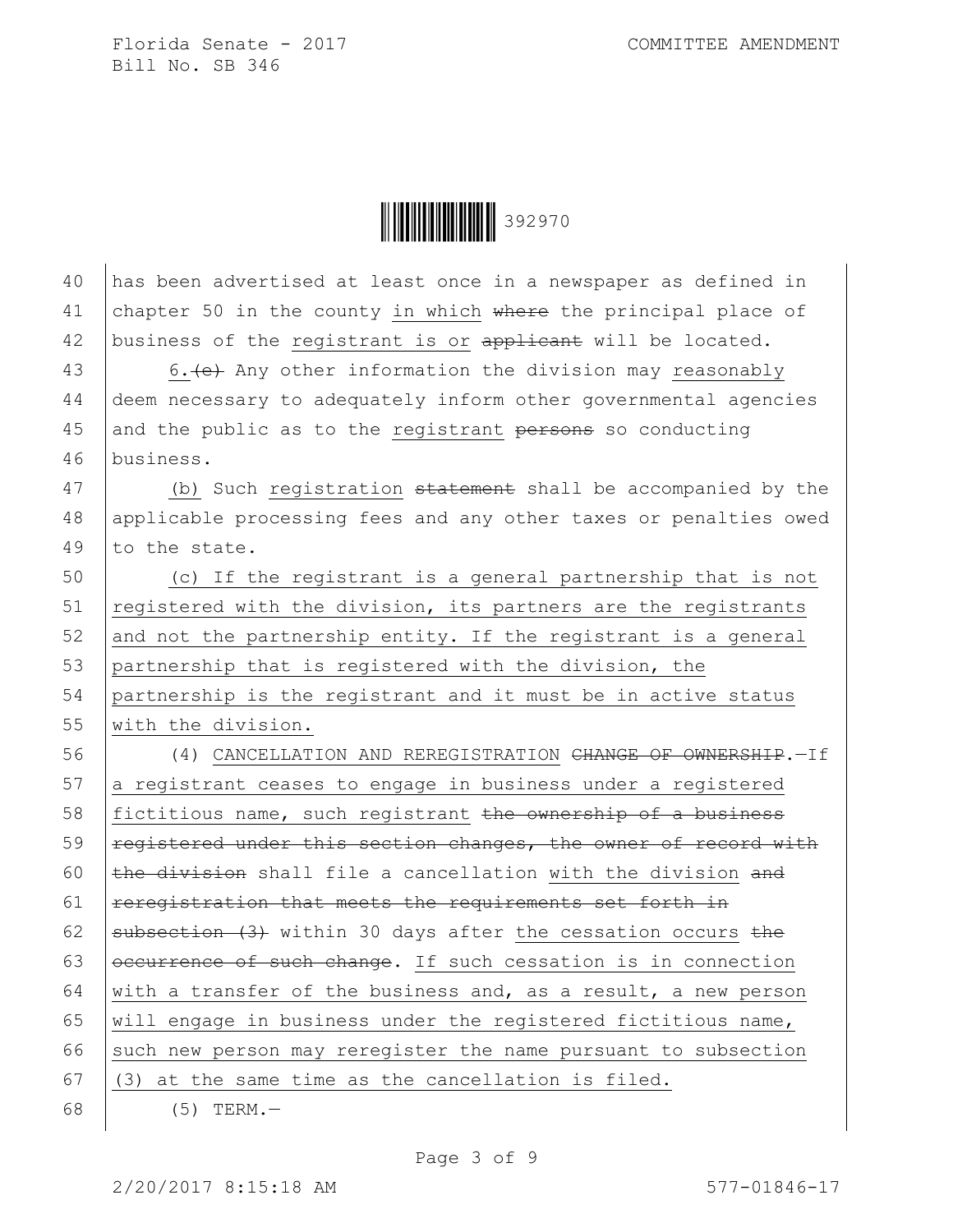**\begin{array}{|c|c|c|c|}\n\hline\n\multicolumn{1}{|c|}{|c|c|}\n\hline\n\multicolumn{1}{|c|}{|c|c|}\n\hline\n\multicolumn{1}{|c|}{|c|c|}\n\hline\n\multicolumn{1}{|c|}{|c|c|}\n\hline\n\multicolumn{1}{|c|}{|c|c|}\n\hline\n\multicolumn{1}{|c|}{|c|c|}\n\hline\n\multicolumn{1}{|c|}{|c|c|}\n\hline\n\multicolumn{1}{|c|}{|c|c|}\n\hline\n\multicolumn{1}{|c|}{|c|c|}\n\hline\n\mult** 

40 has been advertised at least once in a newspaper as defined in 41 chapter 50 in the county in which where the principal place of 42 business of the registrant is or applicant will be located.

43 6. (e) Any other information the division may reasonably 44 deem necessary to adequately inform other governmental agencies 45 and the public as to the registrant  $p$ ersons so conducting 46 business.

47 (b) Such registration statement shall be accompanied by the 48 applicable processing fees and any other taxes or penalties owed 49  $\vert$  to the state.

 (c) If the registrant is a general partnership that is not  $\vert$  registered with the division, its partners are the registrants 52 and not the partnership entity. If the registrant is a general partnership that is registered with the division, the partnership is the registrant and it must be in active status with the division.

56 (4) CANCELLATION AND REREGISTRATION CHANGE OF OWNERSHIP. - If 57 a registrant ceases to engage in business under a registered 58 fictitious name, such registrant the ownership of a business 59 | registered under this section changes, the owner of record with 60  $\pm$ he division shall file a cancellation with the division and  $61$  rereqistration that meets the requirements set forth in 62 subsection  $(3)$  within 30 days after the cessation occurs the 63  $\sqrt{\frac{1}{100}}$   $\sqrt{100}$  of such change. If such cessation is in connection 64 with a transfer of the business and, as a result, a new person 65 | will engage in business under the registered fictitious name, 66 such new person may reregister the name pursuant to subsection 67  $(3)$  at the same time as the cancellation is filed. 68 (5) TERM.—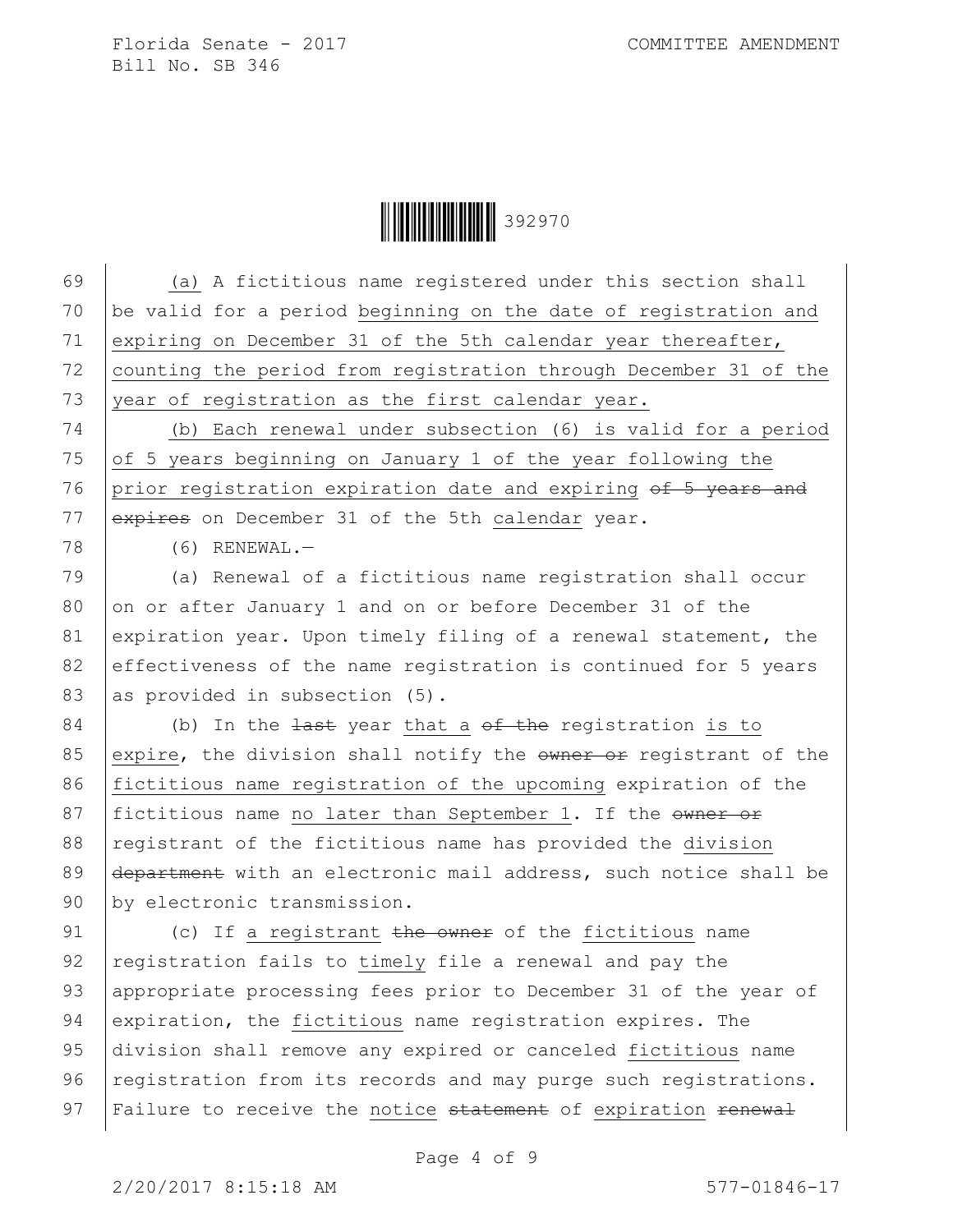**\begin{array}{|c|c|c|c|}\n\hline\n\multicolumn{1}{|c|}{|c|c|}\n\hline\n\multicolumn{1}{|c|}{|c|c|}\n\hline\n\multicolumn{1}{|c|}{|c|c|}\n\hline\n\multicolumn{1}{|c|}{|c|c|}\n\hline\n\multicolumn{1}{|c|}{|c|c|}\n\hline\n\multicolumn{1}{|c|}{|c|c|}\n\hline\n\multicolumn{1}{|c|}{|c|c|}\n\hline\n\multicolumn{1}{|c|}{|c|c|}\n\hline\n\multicolumn{1}{|c|}{|c|c|}\n\hline\n\mult** 

69 (a) A fictitious name registered under this section shall 70 be valid for a period beginning on the date of registration and 71 expiring on December 31 of the 5th calendar year thereafter, 72 counting the period from registration through December 31 of the 73 year of registration as the first calendar year. 74 (b) Each renewal under subsection (6) is valid for a period 75 of 5 years beginning on January 1 of the year following the 76 prior registration expiration date and expiring  $\theta f$  5 years and 77 expires on December 31 of the 5th calendar year. 78 (6) RENEWAL.— 79 (a) Renewal of a fictitious name registration shall occur 80 on or after January 1 and on or before December 31 of the 81 expiration year. Upon timely filing of a renewal statement, the 82 effectiveness of the name registration is continued for 5 years 83 as provided in subsection  $(5)$ .  $84$  (b) In the  $\frac{1}{4}$  vear that a <del>of the</del> registration is to 85 expire, the division shall notify the  $\frac{1}{2}$  or reqistrant of the 86 fictitious name registration of the upcoming expiration of the 87 fictitious name no later than September 1. If the owner or 88 registrant of the fictitious name has provided the division 89 department with an electronic mail address, such notice shall be 90 by electronic transmission.

91 (c) If a registrant the owner of the fictitious name 92 registration fails to timely file a renewal and pay the 93 appropriate processing fees prior to December 31 of the year of 94 expiration, the fictitious name registration expires. The 95 division shall remove any expired or canceled fictitious name 96 registration from its records and may purge such registrations. 97 | Failure to receive the notice statement of expiration renewal

Page 4 of 9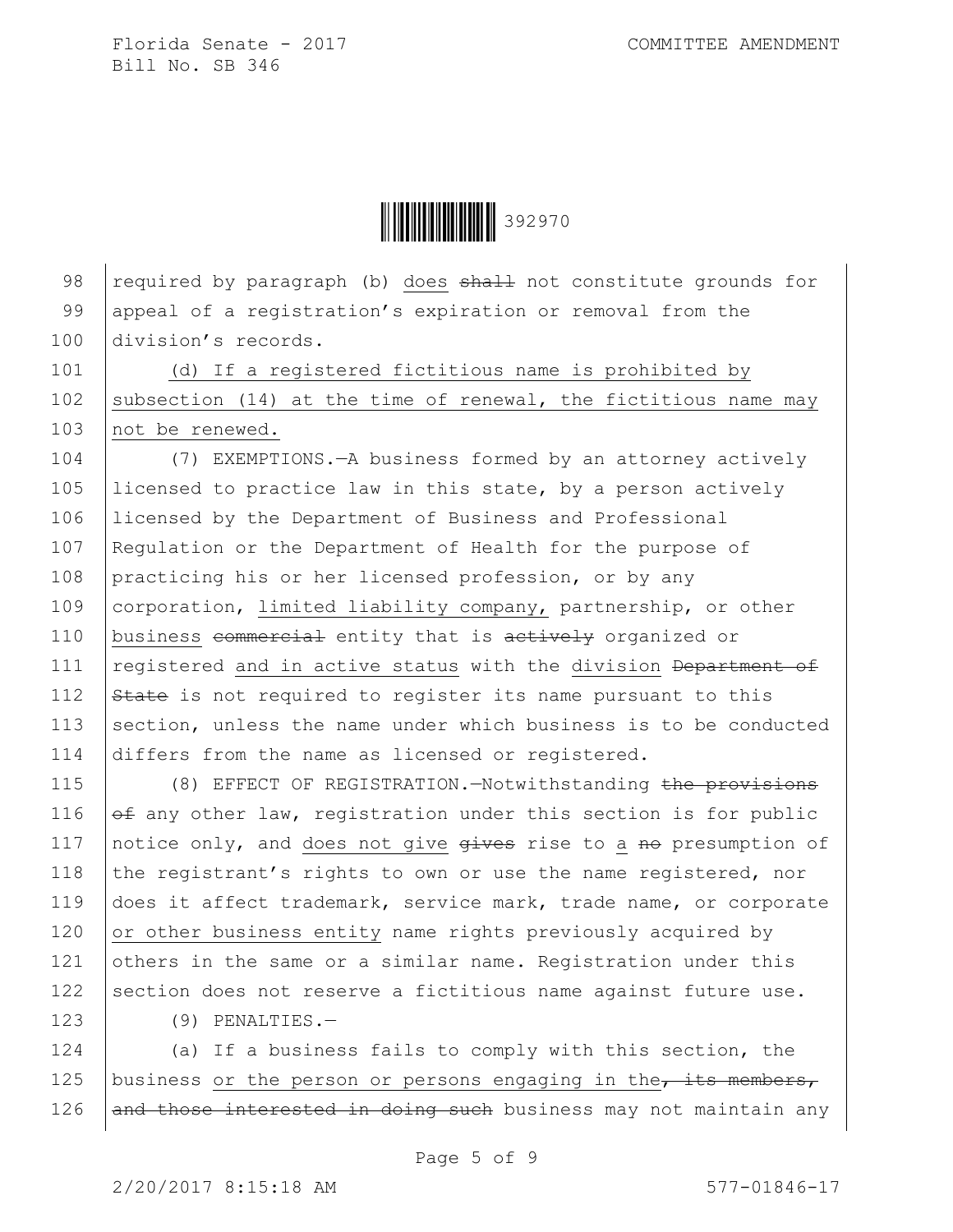**\begin{array}{|c|c|c|c|}\n\hline\n\multicolumn{1}{|c|}{|c|c|}\n\hline\n\multicolumn{1}{|c|}{|c|c|}\n\hline\n\multicolumn{1}{|c|}{|c|c|}\n\hline\n\multicolumn{1}{|c|}{|c|c|}\n\hline\n\multicolumn{1}{|c|}{|c|c|}\n\hline\n\multicolumn{1}{|c|}{|c|c|}\n\hline\n\multicolumn{1}{|c|}{|c|c|}\n\hline\n\multicolumn{1}{|c|}{|c|c|}\n\hline\n\multicolumn{1}{|c|}{|c|c|}\n\hline\n\mult** 

98  $r$  required by paragraph (b) does  $shahl$  not constitute grounds for 99 appeal of a registration's expiration or removal from the 100 division's records.

101 (d) If a registered fictitious name is prohibited by 102 | subsection (14) at the time of renewal, the fictitious name may 103 not be renewed.

 (7) EXEMPTIONS.—A business formed by an attorney actively licensed to practice law in this state, by a person actively licensed by the Department of Business and Professional 107 Regulation or the Department of Health for the purpose of 108 practicing his or her licensed profession, or by any corporation, limited liability company, partnership, or other 110 business commercial entity that is actively organized or  $\vert$  registered and in active status with the division Department of  $\frac{12}{12}$  State is not required to register its name pursuant to this 113 section, unless the name under which business is to be conducted differs from the name as licensed or registered.

115 (8) EFFECT OF REGISTRATION. - Notwithstanding the provisions 116  $\theta$  any other law, registration under this section is for public 117 | notice only, and does not give  $g$ ives rise to a no presumption of 118 the registrant's rights to own or use the name registered, nor 119 does it affect trademark, service mark, trade name, or corporate 120  $\vert$  or other business entity name rights previously acquired by 121 others in the same or a similar name. Registration under this 122 section does not reserve a fictitious name against future use.

123 (9) PENALTIES.—

124 (a) If a business fails to comply with this section, the 125 business or the person or persons engaging in the  $\frac{1}{100}$  for  $\frac{1}{100}$ 126 and those interested in doing such business may not maintain any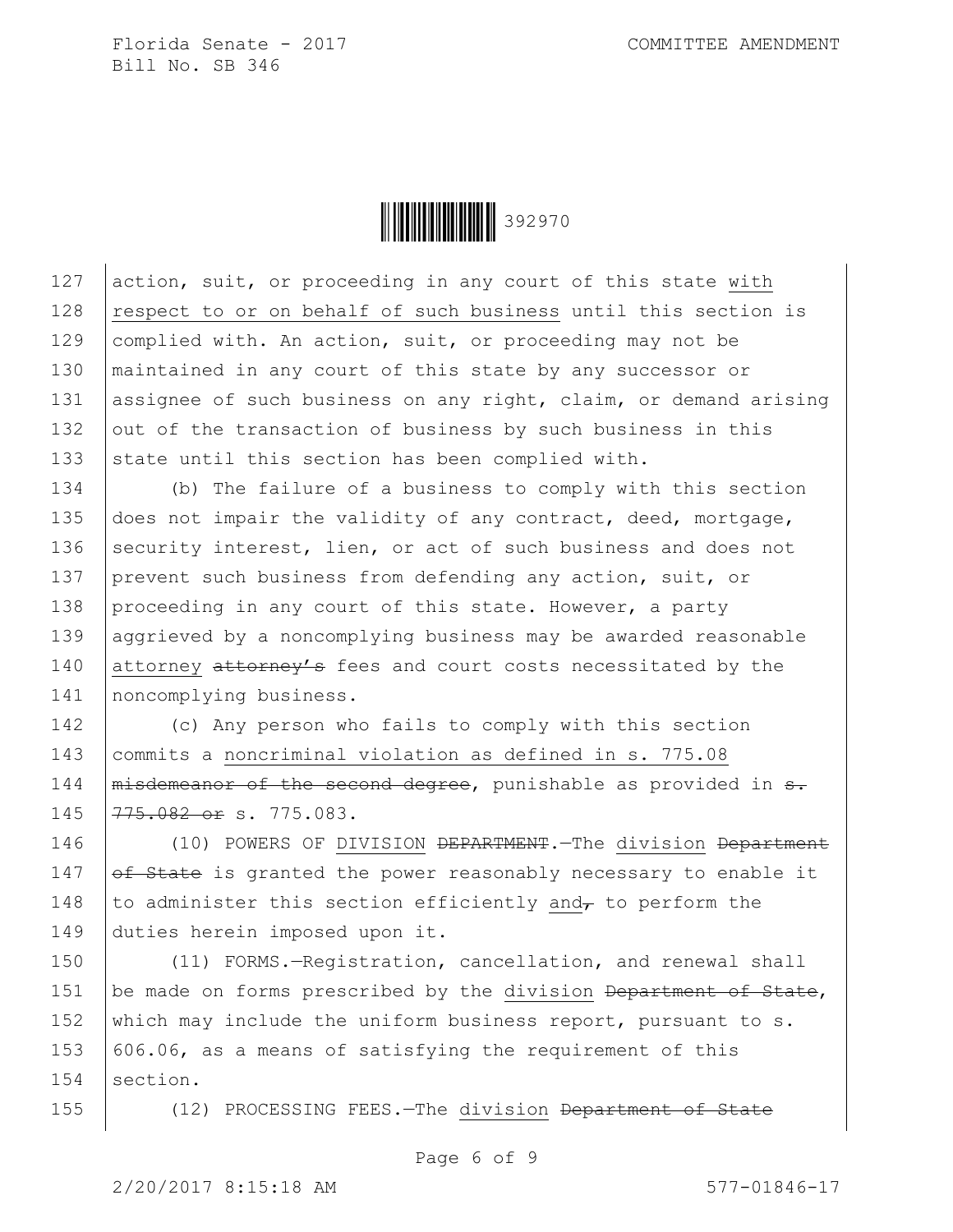

127 action, suit, or proceeding in any court of this state with 128 respect to or on behalf of such business until this section is 129 complied with. An action, suit, or proceeding may not be 130 | maintained in any court of this state by any successor or 131 assignee of such business on any right, claim, or demand arising 132 out of the transaction of business by such business in this 133 state until this section has been complied with.

134 (b) The failure of a business to comply with this section 135 does not impair the validity of any contract, deed, mortgage, 136 security interest, lien, or act of such business and does not 137 prevent such business from defending any action, suit, or 138 proceeding in any court of this state. However, a party 139 aggrieved by a noncomplying business may be awarded reasonable 140 attorney attorney's fees and court costs necessitated by the 141 | noncomplying business.

 (c) Any person who fails to comply with this section commits a noncriminal violation as defined in s. 775.08  $\mid$  misdemeanor of the second degree, punishable as provided in  $s$ . 145 775.082 or s. 775.083.

146 (10) POWERS OF DIVISION <del>DEPARTMENT</del>.—The division <del>Department</del> 147  $of$  State is granted the power reasonably necessary to enable it 148 to administer this section efficiently and<sub> $\tau$ </sub> to perform the 149 duties herein imposed upon it.

150 (11) FORMS.-Registration, cancellation, and renewal shall 151 be made on forms prescribed by the division Department of State, 152 which may include the uniform business report, pursuant to s. 153  $\vert$  606.06, as a means of satisfying the requirement of this 154 section.

155 (12) PROCESSING FEES.—The division <del>Department of State</del>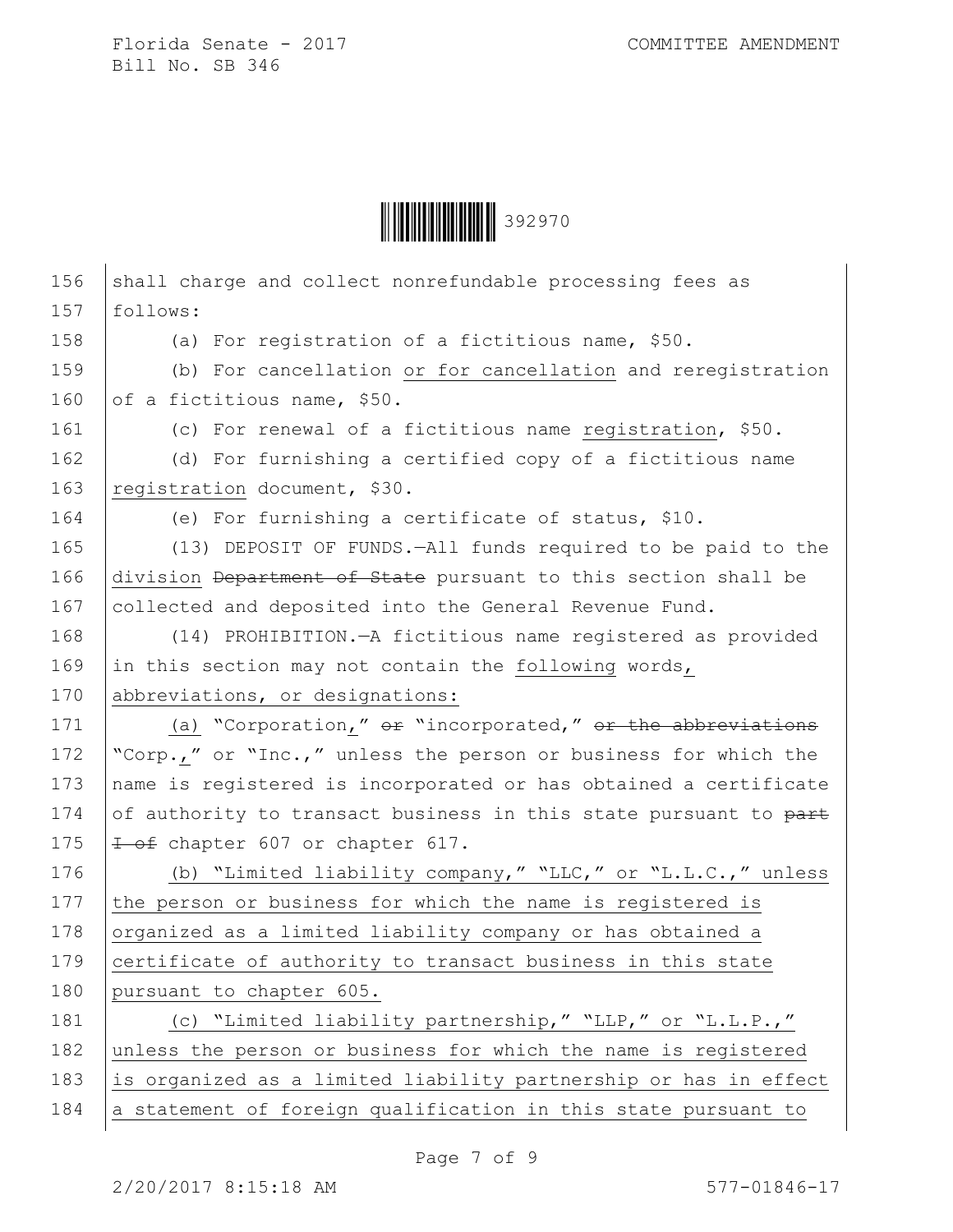

| 156 | shall charge and collect nonrefundable processing fees as        |
|-----|------------------------------------------------------------------|
| 157 | follows:                                                         |
| 158 | (a) For registration of a fictitious name, \$50.                 |
| 159 | (b) For cancellation or for cancellation and reregistration      |
| 160 | of a fictitious name, \$50.                                      |
| 161 | (c) For renewal of a fictitious name registration, \$50.         |
| 162 | (d) For furnishing a certified copy of a fictitious name         |
| 163 | registration document, \$30.                                     |
| 164 | (e) For furnishing a certificate of status, \$10.                |
| 165 | (13) DEPOSIT OF FUNDS. - All funds required to be paid to the    |
| 166 | division Department of State pursuant to this section shall be   |
| 167 | collected and deposited into the General Revenue Fund.           |
| 168 | (14) PROHIBITION. - A fictitious name registered as provided     |
| 169 | in this section may not contain the following words,             |
| 170 | abbreviations, or designations:                                  |
| 171 | (a) "Corporation," or "incorporated," or the abbreviations       |
| 172 | "Corp.," or "Inc.," unless the person or business for which the  |
| 173 | name is registered is incorporated or has obtained a certificate |
| 174 | of authority to transact business in this state pursuant to part |
| 175 | 1 of chapter 607 or chapter 617.                                 |
| 176 | (b) "Limited liability company," "LLC," or "L.L.C.," unless      |
| 177 | the person or business for which the name is registered is       |
| 178 | organized as a limited liability company or has obtained a       |
| 179 | certificate of authority to transact business in this state      |
| 180 | pursuant to chapter 605.                                         |
| 181 | (c) "Limited liability partnership," "LLP," or "L.L.P.,"         |
| 182 | unless the person or business for which the name is registered   |
| 183 | is organized as a limited liability partnership or has in effect |
| 184 | a statement of foreign qualification in this state pursuant to   |
|     |                                                                  |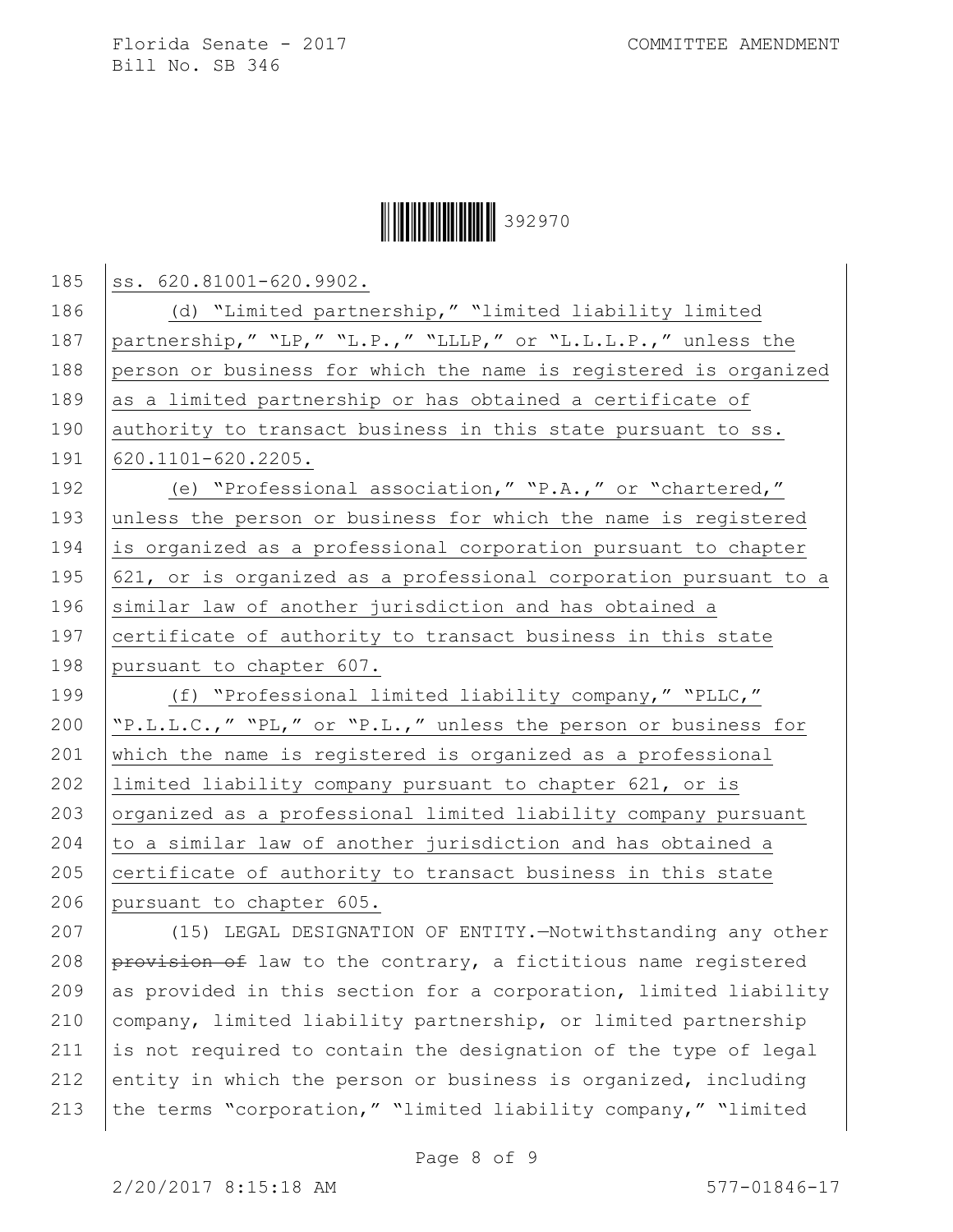## **|| || || || || || || || || || || ||** 392970

| 186<br>(d) "Limited partnership," "limited liability limited<br>187<br>partnership, " "LP, " "L.P., " "LLLP, " or "L.L.L.P., " unless the<br>188<br>person or business for which the name is registered is organized<br>189<br>as a limited partnership or has obtained a certificate of<br>190<br>authority to transact business in this state pursuant to ss.<br>191<br>620.1101-620.2205.<br>192<br>(e) "Professional association," "P.A.," or "chartered,"<br>193<br>unless the person or business for which the name is registered<br>194<br>is organized as a professional corporation pursuant to chapter<br>195<br>621, or is organized as a professional corporation pursuant to a<br>196<br>similar law of another jurisdiction and has obtained a<br>197<br>certificate of authority to transact business in this state<br>198<br>pursuant to chapter 607.<br>199<br>(f) "Professional limited liability company," "PLLC,"<br>200<br>"P.L.L.C.," "PL," or "P.L.," unless the person or business for<br>201<br>which the name is registered is organized as a professional<br>202<br>limited liability company pursuant to chapter 621, or is<br>203<br>organized as a professional limited liability company pursuant<br>204<br>to a similar law of another jurisdiction and has obtained a<br>205<br>certificate of authority to transact business in this state<br>206<br>pursuant to chapter 605.<br>(15) LEGAL DESIGNATION OF ENTITY.-Notwithstanding any other<br>207<br>208<br>provision of law to the contrary, a fictitious name registered<br>209<br>as provided in this section for a corporation, limited liability<br>210<br>company, limited liability partnership, or limited partnership<br>211<br>is not required to contain the designation of the type of legal<br>212<br>entity in which the person or business is organized, including<br>the terms "corporation," "limited liability company," "limited<br>213 |     |                         |
|------------------------------------------------------------------------------------------------------------------------------------------------------------------------------------------------------------------------------------------------------------------------------------------------------------------------------------------------------------------------------------------------------------------------------------------------------------------------------------------------------------------------------------------------------------------------------------------------------------------------------------------------------------------------------------------------------------------------------------------------------------------------------------------------------------------------------------------------------------------------------------------------------------------------------------------------------------------------------------------------------------------------------------------------------------------------------------------------------------------------------------------------------------------------------------------------------------------------------------------------------------------------------------------------------------------------------------------------------------------------------------------------------------------------------------------------------------------------------------------------------------------------------------------------------------------------------------------------------------------------------------------------------------------------------------------------------------------------------------------------------------------------------------------------------------------------------------------------------------------------------------------------------------------------------------------------|-----|-------------------------|
|                                                                                                                                                                                                                                                                                                                                                                                                                                                                                                                                                                                                                                                                                                                                                                                                                                                                                                                                                                                                                                                                                                                                                                                                                                                                                                                                                                                                                                                                                                                                                                                                                                                                                                                                                                                                                                                                                                                                                | 185 | ss. 620.81001-620.9902. |
|                                                                                                                                                                                                                                                                                                                                                                                                                                                                                                                                                                                                                                                                                                                                                                                                                                                                                                                                                                                                                                                                                                                                                                                                                                                                                                                                                                                                                                                                                                                                                                                                                                                                                                                                                                                                                                                                                                                                                |     |                         |
|                                                                                                                                                                                                                                                                                                                                                                                                                                                                                                                                                                                                                                                                                                                                                                                                                                                                                                                                                                                                                                                                                                                                                                                                                                                                                                                                                                                                                                                                                                                                                                                                                                                                                                                                                                                                                                                                                                                                                |     |                         |
|                                                                                                                                                                                                                                                                                                                                                                                                                                                                                                                                                                                                                                                                                                                                                                                                                                                                                                                                                                                                                                                                                                                                                                                                                                                                                                                                                                                                                                                                                                                                                                                                                                                                                                                                                                                                                                                                                                                                                |     |                         |
|                                                                                                                                                                                                                                                                                                                                                                                                                                                                                                                                                                                                                                                                                                                                                                                                                                                                                                                                                                                                                                                                                                                                                                                                                                                                                                                                                                                                                                                                                                                                                                                                                                                                                                                                                                                                                                                                                                                                                |     |                         |
|                                                                                                                                                                                                                                                                                                                                                                                                                                                                                                                                                                                                                                                                                                                                                                                                                                                                                                                                                                                                                                                                                                                                                                                                                                                                                                                                                                                                                                                                                                                                                                                                                                                                                                                                                                                                                                                                                                                                                |     |                         |
|                                                                                                                                                                                                                                                                                                                                                                                                                                                                                                                                                                                                                                                                                                                                                                                                                                                                                                                                                                                                                                                                                                                                                                                                                                                                                                                                                                                                                                                                                                                                                                                                                                                                                                                                                                                                                                                                                                                                                |     |                         |
|                                                                                                                                                                                                                                                                                                                                                                                                                                                                                                                                                                                                                                                                                                                                                                                                                                                                                                                                                                                                                                                                                                                                                                                                                                                                                                                                                                                                                                                                                                                                                                                                                                                                                                                                                                                                                                                                                                                                                |     |                         |
|                                                                                                                                                                                                                                                                                                                                                                                                                                                                                                                                                                                                                                                                                                                                                                                                                                                                                                                                                                                                                                                                                                                                                                                                                                                                                                                                                                                                                                                                                                                                                                                                                                                                                                                                                                                                                                                                                                                                                |     |                         |
|                                                                                                                                                                                                                                                                                                                                                                                                                                                                                                                                                                                                                                                                                                                                                                                                                                                                                                                                                                                                                                                                                                                                                                                                                                                                                                                                                                                                                                                                                                                                                                                                                                                                                                                                                                                                                                                                                                                                                |     |                         |
|                                                                                                                                                                                                                                                                                                                                                                                                                                                                                                                                                                                                                                                                                                                                                                                                                                                                                                                                                                                                                                                                                                                                                                                                                                                                                                                                                                                                                                                                                                                                                                                                                                                                                                                                                                                                                                                                                                                                                |     |                         |
|                                                                                                                                                                                                                                                                                                                                                                                                                                                                                                                                                                                                                                                                                                                                                                                                                                                                                                                                                                                                                                                                                                                                                                                                                                                                                                                                                                                                                                                                                                                                                                                                                                                                                                                                                                                                                                                                                                                                                |     |                         |
|                                                                                                                                                                                                                                                                                                                                                                                                                                                                                                                                                                                                                                                                                                                                                                                                                                                                                                                                                                                                                                                                                                                                                                                                                                                                                                                                                                                                                                                                                                                                                                                                                                                                                                                                                                                                                                                                                                                                                |     |                         |
|                                                                                                                                                                                                                                                                                                                                                                                                                                                                                                                                                                                                                                                                                                                                                                                                                                                                                                                                                                                                                                                                                                                                                                                                                                                                                                                                                                                                                                                                                                                                                                                                                                                                                                                                                                                                                                                                                                                                                |     |                         |
|                                                                                                                                                                                                                                                                                                                                                                                                                                                                                                                                                                                                                                                                                                                                                                                                                                                                                                                                                                                                                                                                                                                                                                                                                                                                                                                                                                                                                                                                                                                                                                                                                                                                                                                                                                                                                                                                                                                                                |     |                         |
|                                                                                                                                                                                                                                                                                                                                                                                                                                                                                                                                                                                                                                                                                                                                                                                                                                                                                                                                                                                                                                                                                                                                                                                                                                                                                                                                                                                                                                                                                                                                                                                                                                                                                                                                                                                                                                                                                                                                                |     |                         |
|                                                                                                                                                                                                                                                                                                                                                                                                                                                                                                                                                                                                                                                                                                                                                                                                                                                                                                                                                                                                                                                                                                                                                                                                                                                                                                                                                                                                                                                                                                                                                                                                                                                                                                                                                                                                                                                                                                                                                |     |                         |
|                                                                                                                                                                                                                                                                                                                                                                                                                                                                                                                                                                                                                                                                                                                                                                                                                                                                                                                                                                                                                                                                                                                                                                                                                                                                                                                                                                                                                                                                                                                                                                                                                                                                                                                                                                                                                                                                                                                                                |     |                         |
|                                                                                                                                                                                                                                                                                                                                                                                                                                                                                                                                                                                                                                                                                                                                                                                                                                                                                                                                                                                                                                                                                                                                                                                                                                                                                                                                                                                                                                                                                                                                                                                                                                                                                                                                                                                                                                                                                                                                                |     |                         |
|                                                                                                                                                                                                                                                                                                                                                                                                                                                                                                                                                                                                                                                                                                                                                                                                                                                                                                                                                                                                                                                                                                                                                                                                                                                                                                                                                                                                                                                                                                                                                                                                                                                                                                                                                                                                                                                                                                                                                |     |                         |
|                                                                                                                                                                                                                                                                                                                                                                                                                                                                                                                                                                                                                                                                                                                                                                                                                                                                                                                                                                                                                                                                                                                                                                                                                                                                                                                                                                                                                                                                                                                                                                                                                                                                                                                                                                                                                                                                                                                                                |     |                         |
|                                                                                                                                                                                                                                                                                                                                                                                                                                                                                                                                                                                                                                                                                                                                                                                                                                                                                                                                                                                                                                                                                                                                                                                                                                                                                                                                                                                                                                                                                                                                                                                                                                                                                                                                                                                                                                                                                                                                                |     |                         |
|                                                                                                                                                                                                                                                                                                                                                                                                                                                                                                                                                                                                                                                                                                                                                                                                                                                                                                                                                                                                                                                                                                                                                                                                                                                                                                                                                                                                                                                                                                                                                                                                                                                                                                                                                                                                                                                                                                                                                |     |                         |
|                                                                                                                                                                                                                                                                                                                                                                                                                                                                                                                                                                                                                                                                                                                                                                                                                                                                                                                                                                                                                                                                                                                                                                                                                                                                                                                                                                                                                                                                                                                                                                                                                                                                                                                                                                                                                                                                                                                                                |     |                         |
|                                                                                                                                                                                                                                                                                                                                                                                                                                                                                                                                                                                                                                                                                                                                                                                                                                                                                                                                                                                                                                                                                                                                                                                                                                                                                                                                                                                                                                                                                                                                                                                                                                                                                                                                                                                                                                                                                                                                                |     |                         |
|                                                                                                                                                                                                                                                                                                                                                                                                                                                                                                                                                                                                                                                                                                                                                                                                                                                                                                                                                                                                                                                                                                                                                                                                                                                                                                                                                                                                                                                                                                                                                                                                                                                                                                                                                                                                                                                                                                                                                |     |                         |
|                                                                                                                                                                                                                                                                                                                                                                                                                                                                                                                                                                                                                                                                                                                                                                                                                                                                                                                                                                                                                                                                                                                                                                                                                                                                                                                                                                                                                                                                                                                                                                                                                                                                                                                                                                                                                                                                                                                                                |     |                         |
|                                                                                                                                                                                                                                                                                                                                                                                                                                                                                                                                                                                                                                                                                                                                                                                                                                                                                                                                                                                                                                                                                                                                                                                                                                                                                                                                                                                                                                                                                                                                                                                                                                                                                                                                                                                                                                                                                                                                                |     |                         |
|                                                                                                                                                                                                                                                                                                                                                                                                                                                                                                                                                                                                                                                                                                                                                                                                                                                                                                                                                                                                                                                                                                                                                                                                                                                                                                                                                                                                                                                                                                                                                                                                                                                                                                                                                                                                                                                                                                                                                |     |                         |